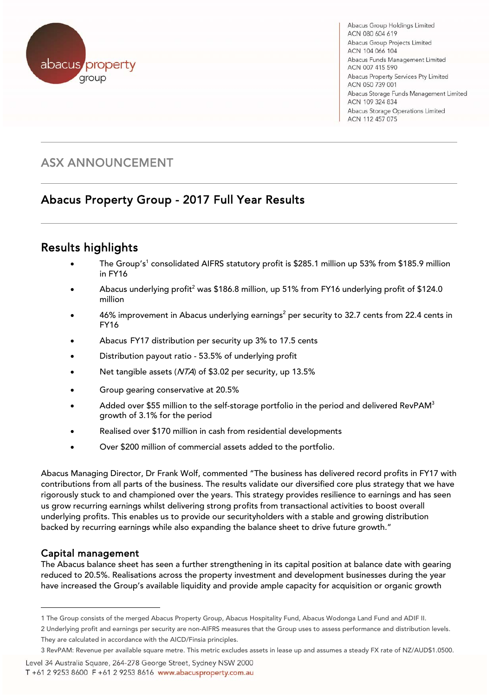

Abacus Group Holdings Limited ACN 080 604 619 Abacus Group Projects Limited ACN 104 066 104 Abacus Funds Management Limited ACN 007 415 590 Abacus Property Services Pty Limited ACN 050 739 001 Abacus Storage Funds Management Limited ACN 109 324 834 Abacus Storage Operations Limited ACN 112 457 075

## ASX ANNOUNCEMENT

# Abacus Property Group - 2017 Full Year Results

#### $\overline{a}$ Results highlights

- The Group's<sup>1</sup> consolidated AIFRS statutory profit is \$285.1 million up 53% from \$185.9 million in FY16
- Abacus underlying profit<sup>2</sup> was \$186.8 million, up 51% from FY16 underlying profit of \$124.0 million
- $\bullet$  46% improvement in Abacus underlying earnings<sup>2</sup> per security to 32.7 cents from 22.4 cents in FY16
- Abacus FY17 distribution per security up 3% to 17.5 cents
- Distribution payout ratio 53.5% of underlying profit
- Net tangible assets (NTA) of \$3.02 per security, up 13.5%
- Group gearing conservative at 20.5%
- Added over \$55 million to the self-storage portfolio in the period and delivered RevPAM $^3$ growth of 3.1% for the period
- Realised over \$170 million in cash from residential developments
- Over \$200 million of commercial assets added to the portfolio.

Abacus Managing Director, Dr Frank Wolf, commented "The business has delivered record profits in FY17 with contributions from all parts of the business. The results validate our diversified core plus strategy that we have rigorously stuck to and championed over the years. This strategy provides resilience to earnings and has seen us grow recurring earnings whilst delivering strong profits from transactional activities to boost overall underlying profits. This enables us to provide our securityholders with a stable and growing distribution backed by recurring earnings while also expanding the balance sheet to drive future growth."

### Capital management

l

The Abacus balance sheet has seen a further strengthening in its capital position at balance date with gearing reduced to 20.5%. Realisations across the property investment and development businesses during the year have increased the Group's available liquidity and provide ample capacity for acquisition or organic growth

2 Underlying profit and earnings per security are non-AIFRS measures that the Group uses to assess performance and distribution levels. They are calculated in accordance with the AICD/Finsia principles.

Level 34 Australia Square, 264-278 George Street, Sydney NSW 2000

T +61 2 9253 8600 F +61 2 9253 8616 www.abacusproperty.com.au

<sup>1</sup> The Group consists of the merged Abacus Property Group, Abacus Hospitality Fund, Abacus Wodonga Land Fund and ADIF II.

<sup>3</sup> RevPAM: Revenue per available square metre. This metric excludes assets in lease up and assumes a steady FX rate of NZ/AUD\$1.0500.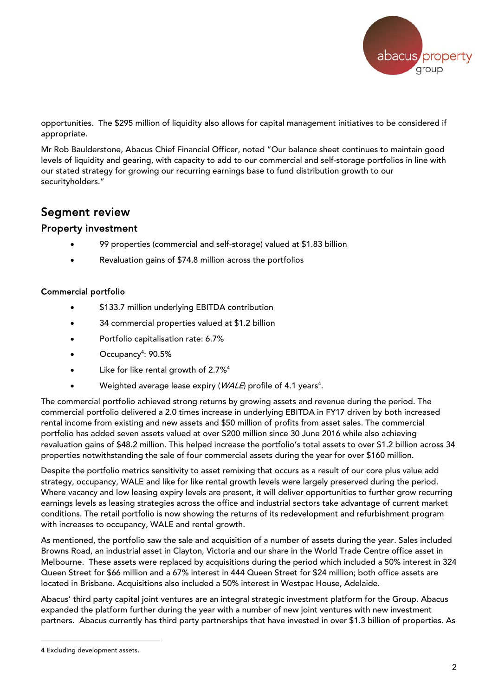

opportunities. The \$295 million of liquidity also allows for capital management initiatives to be considered if appropriate.

Mr Rob Baulderstone, Abacus Chief Financial Officer, noted "Our balance sheet continues to maintain good levels of liquidity and gearing, with capacity to add to our commercial and self-storage portfolios in line with our stated strategy for growing our recurring earnings base to fund distribution growth to our securityholders."

### Segment review

### Property investment

- 99 properties (commercial and self-storage) valued at \$1.83 billion
- Revaluation gains of \$74.8 million across the portfolios

#### Commercial portfolio

- \$133.7 million underlying EBITDA contribution
- 34 commercial properties valued at \$1.2 billion
- Portfolio capitalisation rate: 6.7%
- Occupancy<sup>4</sup>: 90.5%
- Like for like rental growth of 2.7%<sup>4</sup>
- Weighted average lease expiry (*WALE*) profile of 4.1 years<sup>4</sup>.

The commercial portfolio achieved strong returns by growing assets and revenue during the period. The commercial portfolio delivered a 2.0 times increase in underlying EBITDA in FY17 driven by both increased rental income from existing and new assets and \$50 million of profits from asset sales. The commercial portfolio has added seven assets valued at over \$200 million since 30 June 2016 while also achieving revaluation gains of \$48.2 million. This helped increase the portfolio's total assets to over \$1.2 billion across 34 properties notwithstanding the sale of four commercial assets during the year for over \$160 million.

Despite the portfolio metrics sensitivity to asset remixing that occurs as a result of our core plus value add strategy, occupancy, WALE and like for like rental growth levels were largely preserved during the period. Where vacancy and low leasing expiry levels are present, it will deliver opportunities to further grow recurring earnings levels as leasing strategies across the office and industrial sectors take advantage of current market conditions. The retail portfolio is now showing the returns of its redevelopment and refurbishment program with increases to occupancy, WALE and rental growth.

As mentioned, the portfolio saw the sale and acquisition of a number of assets during the year. Sales included Browns Road, an industrial asset in Clayton, Victoria and our share in the World Trade Centre office asset in Melbourne. These assets were replaced by acquisitions during the period which included a 50% interest in 324 Queen Street for \$66 million and a 67% interest in 444 Queen Street for \$24 million; both office assets are located in Brisbane. Acquisitions also included a 50% interest in Westpac House, Adelaide.

Abacus' third party capital joint ventures are an integral strategic investment platform for the Group. Abacus expanded the platform further during the year with a number of new joint ventures with new investment partners. Abacus currently has third party partnerships that have invested in over \$1.3 billion of properties. As

l

<sup>4</sup> Excluding development assets.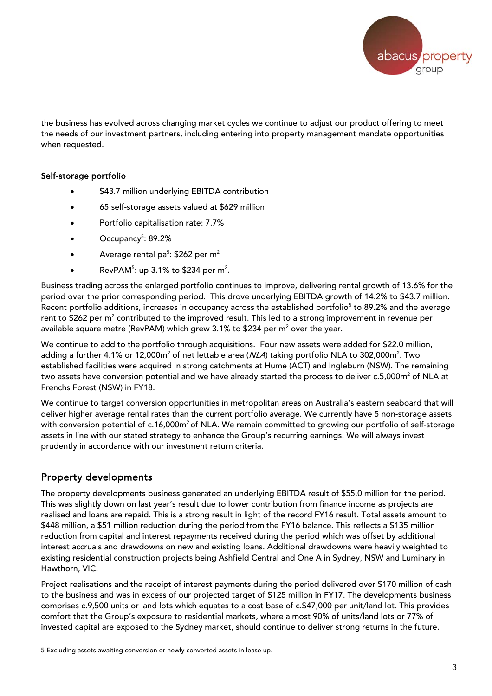

the business has evolved across changing market cycles we continue to adjust our product offering to meet the needs of our investment partners, including entering into property management mandate opportunities when requested.

#### Self-storage portfolio

- \$43.7 million underlying EBITDA contribution
- 65 self-storage assets valued at \$629 million
- Portfolio capitalisation rate: 7.7%
- $\bullet$  Occupancy<sup>5</sup>: 89.2%
- Average rental pa<sup>5</sup>: \$262 per m<sup>2</sup>
- RevPAM<sup>5</sup>: up 3.1% to \$234 per m<sup>2</sup>.

Business trading across the enlarged portfolio continues to improve, delivering rental growth of 13.6% for the period over the prior corresponding period. This drove underlying EBITDA growth of 14.2% to \$43.7 million. Recent portfolio additions, increases in occupancy across the established portfolio<sup>5</sup> to 89.2% and the average rent to \$262 per m $^2$  contributed to the improved result. This led to a strong improvement in revenue per available square metre (RevPAM) which grew 3.1% to \$234 per m $^2$  over the year.

We continue to add to the portfolio through acquisitions. Four new assets were added for \$22.0 million, adding a further 4.1% or 12,000m $^2$  of net lettable area (*NLA*) taking portfolio NLA to 302,000m $^2$ . Two established facilities were acquired in strong catchments at Hume (ACT) and Ingleburn (NSW). The remaining two assets have conversion potential and we have already started the process to deliver c.5,000m<sup>2</sup> of NLA at Frenchs Forest (NSW) in FY18.

We continue to target conversion opportunities in metropolitan areas on Australia's eastern seaboard that will deliver higher average rental rates than the current portfolio average. We currently have 5 non-storage assets with conversion potential of c.16,000m<sup>2</sup> of NLA. We remain committed to growing our portfolio of self-storage assets in line with our stated strategy to enhance the Group's recurring earnings. We will always invest prudently in accordance with our investment return criteria.

### Property developments

l

The property developments business generated an underlying EBITDA result of \$55.0 million for the period. This was slightly down on last year's result due to lower contribution from finance income as projects are realised and loans are repaid. This is a strong result in light of the record FY16 result. Total assets amount to \$448 million, a \$51 million reduction during the period from the FY16 balance. This reflects a \$135 million reduction from capital and interest repayments received during the period which was offset by additional interest accruals and drawdowns on new and existing loans. Additional drawdowns were heavily weighted to existing residential construction projects being Ashfield Central and One A in Sydney, NSW and Luminary in Hawthorn, VIC.

Project realisations and the receipt of interest payments during the period delivered over \$170 million of cash to the business and was in excess of our projected target of \$125 million in FY17. The developments business comprises c.9,500 units or land lots which equates to a cost base of c.\$47,000 per unit/land lot. This provides comfort that the Group's exposure to residential markets, where almost 90% of units/land lots or 77% of invested capital are exposed to the Sydney market, should continue to deliver strong returns in the future.

<sup>5</sup> Excluding assets awaiting conversion or newly converted assets in lease up.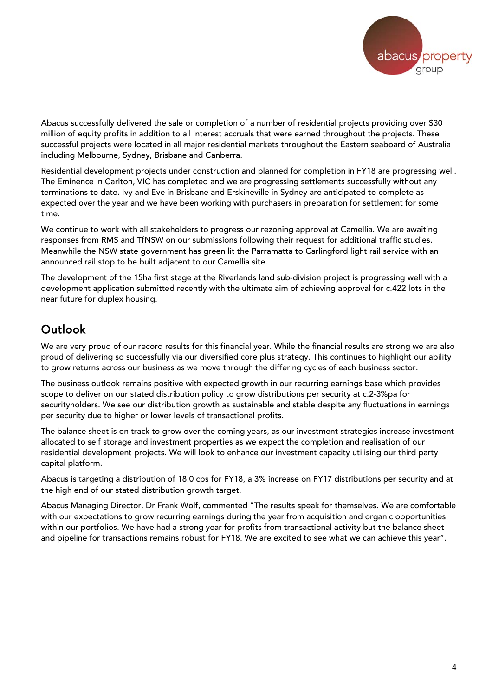

Abacus successfully delivered the sale or completion of a number of residential projects providing over \$30 million of equity profits in addition to all interest accruals that were earned throughout the projects. These successful projects were located in all major residential markets throughout the Eastern seaboard of Australia including Melbourne, Sydney, Brisbane and Canberra.

Residential development projects under construction and planned for completion in FY18 are progressing well. The Eminence in Carlton, VIC has completed and we are progressing settlements successfully without any terminations to date. Ivy and Eve in Brisbane and Erskineville in Sydney are anticipated to complete as expected over the year and we have been working with purchasers in preparation for settlement for some time.

We continue to work with all stakeholders to progress our rezoning approval at Camellia. We are awaiting responses from RMS and TfNSW on our submissions following their request for additional traffic studies. Meanwhile the NSW state government has green lit the Parramatta to Carlingford light rail service with an announced rail stop to be built adjacent to our Camellia site.

The development of the 15ha first stage at the Riverlands land sub-division project is progressing well with a development application submitted recently with the ultimate aim of achieving approval for c.422 lots in the near future for duplex housing.

# Outlook

We are very proud of our record results for this financial year. While the financial results are strong we are also proud of delivering so successfully via our diversified core plus strategy. This continues to highlight our ability to grow returns across our business as we move through the differing cycles of each business sector.

The business outlook remains positive with expected growth in our recurring earnings base which provides scope to deliver on our stated distribution policy to grow distributions per security at c.2-3%pa for securityholders. We see our distribution growth as sustainable and stable despite any fluctuations in earnings per security due to higher or lower levels of transactional profits.

The balance sheet is on track to grow over the coming years, as our investment strategies increase investment allocated to self storage and investment properties as we expect the completion and realisation of our residential development projects. We will look to enhance our investment capacity utilising our third party capital platform.

Abacus is targeting a distribution of 18.0 cps for FY18, a 3% increase on FY17 distributions per security and at the high end of our stated distribution growth target.

Abacus Managing Director, Dr Frank Wolf, commented "The results speak for themselves. We are comfortable with our expectations to grow recurring earnings during the year from acquisition and organic opportunities within our portfolios. We have had a strong year for profits from transactional activity but the balance sheet and pipeline for transactions remains robust for FY18. We are excited to see what we can achieve this year".